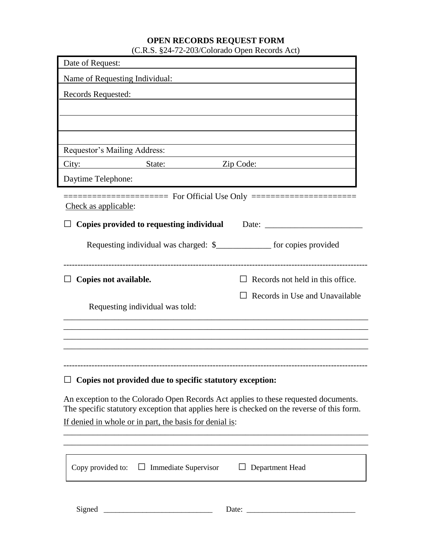# **OPEN RECORDS REQUEST FORM** (C.R.S. §24-72-203/Colorado Open Records Act)

| Date of Request:                                                                                                                                                                  |                                  |
|-----------------------------------------------------------------------------------------------------------------------------------------------------------------------------------|----------------------------------|
| Name of Requesting Individual:                                                                                                                                                    |                                  |
| Records Requested:                                                                                                                                                                |                                  |
|                                                                                                                                                                                   |                                  |
|                                                                                                                                                                                   |                                  |
|                                                                                                                                                                                   |                                  |
| Requestor's Mailing Address:                                                                                                                                                      |                                  |
| City:<br>State:                                                                                                                                                                   | Zip Code:                        |
| Daytime Telephone:                                                                                                                                                                |                                  |
| Check as applicable:                                                                                                                                                              |                                  |
| <b>Copies provided to requesting individual</b>                                                                                                                                   | Date:                            |
|                                                                                                                                                                                   |                                  |
| Requesting individual was charged: \$_______________ for copies provided                                                                                                          |                                  |
|                                                                                                                                                                                   |                                  |
| Copies not available.                                                                                                                                                             | Records not held in this office. |
| Requesting individual was told:                                                                                                                                                   | Records in Use and Unavailable   |
|                                                                                                                                                                                   |                                  |
|                                                                                                                                                                                   |                                  |
|                                                                                                                                                                                   |                                  |
|                                                                                                                                                                                   |                                  |
| Copies not provided due to specific statutory exception:                                                                                                                          |                                  |
| An exception to the Colorado Open Records Act applies to these requested documents.<br>The specific statutory exception that applies here is checked on the reverse of this form. |                                  |
| If denied in whole or in part, the basis for denial is:                                                                                                                           |                                  |
|                                                                                                                                                                                   |                                  |
|                                                                                                                                                                                   |                                  |
| Copy provided to: $\Box$ Immediate Supervisor                                                                                                                                     | $\Box$ Department Head           |
|                                                                                                                                                                                   |                                  |
| Signed                                                                                                                                                                            | Date:                            |
|                                                                                                                                                                                   |                                  |